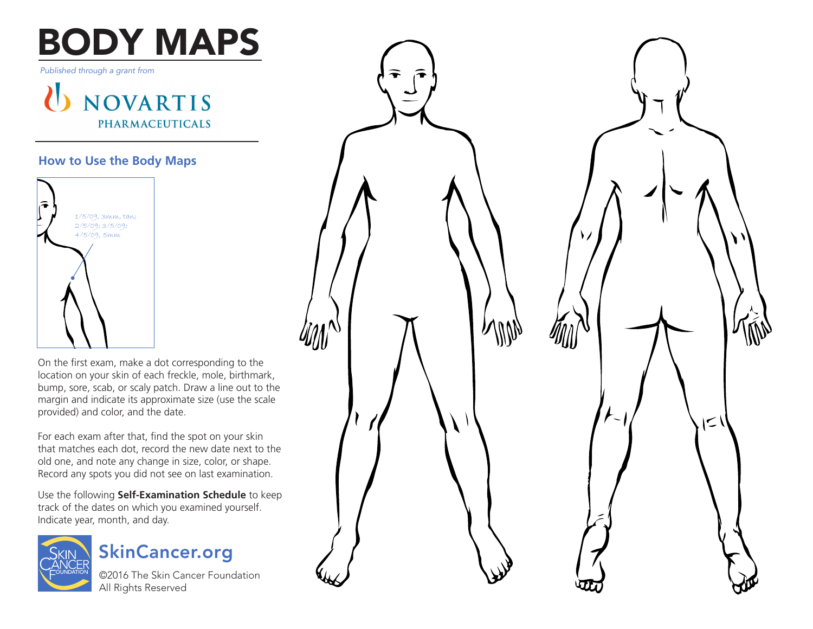# BODY MAPS

*Published through a grant from*

U NOVARTIS **PHARMACEUTICALS** 

## **How to Use the Body Maps**



On the first exam, make a dot corresponding to the location on your skin of each freckle, mole, birthmark, bump, sore, scab, or scaly patch. Draw a line out to the margin and indicate its approximate size (use the scale provided) and color, and the date.

For each exam after that, find the spot on your skin that matches each dot, record the new date next to the old one, and note any change in size, color, or shape. Record any spots you did not see on last examination.

Use the following **Self-Examination Schedule** to keep track of the dates on which you examined yourself. Indicate year, month, and day.





©2016 The Skin Cancer Foundation